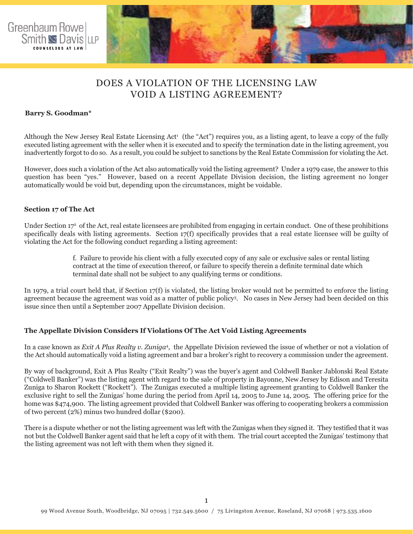

# DOES A VIOLATION OF THE LICENSING LAW VOID A LISTING AGREEMENT?

### **Barry S. Goodman\***

Although the New Jersey Real Estate Licensing Act<sup>1</sup> (the "Act") requires you, as a listing agent, to leave a copy of the fully executed listing agreement with the seller when it is executed and to specify the termination date in the listing agreement, you inadvertently forgot to do so. As a result, you could be subject to sanctions by the Real Estate Commission for violating the Act.

However, does such a violation of the Act also automatically void the listing agreement? Under a 1979 case, the answer to this question has been "yes." However, based on a recent Appellate Division decision, the listing agreement no longer automatically would be void but, depending upon the circumstances, might be voidable.

#### **Section 17 of The Act**

Under Section 17<sup>2</sup> of the Act, real estate licensees are prohibited from engaging in certain conduct. One of these prohibitions specifically deals with listing agreements. Section 17(f) specifically provides that a real estate licensee will be guilty of violating the Act for the following conduct regarding a listing agreement:

> f. Failure to provide his client with a fully executed copy of any sale or exclusive sales or rental listing contract at the time of execution thereof, or failure to specify therein a definite terminal date which terminal date shall not be subject to any qualifying terms or conditions.

In 1979, a trial court held that, if Section 17(f) is violated, the listing broker would not be permitted to enforce the listing agreement because the agreement was void as a matter of public policy3. No cases in New Jersey had been decided on this issue since then until a September 2007 Appellate Division decision.

## **The Appellate Division Considers If Violations Of The Act Void Listing Agreements**

In a case known as *Exit A Plus Realty v. Zuniga*4, the Appellate Division reviewed the issue of whether or not a violation of the Act should automatically void a listing agreement and bar a broker's right to recovery a commission under the agreement.

By way of background, Exit A Plus Realty ("Exit Realty") was the buyer's agent and Coldwell Banker Jablonski Real Estate ("Coldwell Banker") was the listing agent with regard to the sale of property in Bayonne, New Jersey by Edison and Teresita Zuniga to Sharon Rockett ("Rockett"). The Zunigas executed a multiple listing agreement granting to Coldwell Banker the exclusive right to sell the Zunigas' home during the period from April 14, 2005 to June 14, 2005. The offering price for the home was \$474,900. The listing agreement provided that Coldwell Banker was offering to cooperating brokers a commission of two percent (2%) minus two hundred dollar (\$200).

There is a dispute whether or not the listing agreement was left with the Zunigas when they signed it. They testified that it was not but the Coldwell Banker agent said that he left a copy of it with them. The trial court accepted the Zunigas' testimony that the listing agreement was not left with them when they signed it.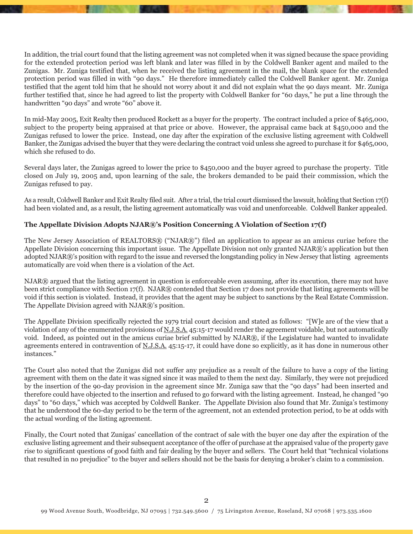In addition, the trial court found that the listing agreement was not completed when it was signed because the space providing for the extended protection period was left blank and later was filled in by the Coldwell Banker agent and mailed to the Zunigas. Mr. Zuniga testified that, when he received the listing agreement in the mail, the blank space for the extended protection period was filled in with "90 days." He therefore immediately called the Coldwell Banker agent. Mr. Zuniga testified that the agent told him that he should not worry about it and did not explain what the 90 days meant. Mr. Zuniga further testified that, since he had agreed to list the property with Coldwell Banker for "60 days," he put a line through the handwritten "90 days" and wrote "60" above it.

In mid-May 2005, Exit Realty then produced Rockett as a buyer for the property. The contract included a price of \$465,000, subject to the property being appraised at that price or above. However, the appraisal came back at \$450,000 and the Zunigas refused to lower the price. Instead, one day after the expiration of the exclusive listing agreement with Coldwell Banker, the Zunigas advised the buyer that they were declaring the contract void unless she agreed to purchase it for \$465,000, which she refused to do.

Several days later, the Zunigas agreed to lower the price to \$450,000 and the buyer agreed to purchase the property. Title closed on July 19, 2005 and, upon learning of the sale, the brokers demanded to be paid their commission, which the Zunigas refused to pay.

As a result, Coldwell Banker and Exit Realty filed suit. After a trial, the trial court dismissed the lawsuit, holding that Section 17(f) had been violated and, as a result, the listing agreement automatically was void and unenforceable. Coldwell Banker appealed.

## **The Appellate Division Adopts NJAR®'s Position Concerning A Violation of Section 17(f)**

The New Jersey Association of REALTORS® ("NJAR®") filed an application to appear as an amicus curiae before the Appellate Division concerning this important issue. The Appellate Division not only granted NJAR®'s application but then adopted NJAR®'s position with regard to the issue and reversed the longstanding policy in New Jersey that listing agreements automatically are void when there is a violation of the Act.

NJAR® argued that the listing agreement in question is enforceable even assuming, after its execution, there may not have been strict compliance with Section 17(f). NJAR® contended that Section 17 does not provide that listing agreements will be void if this section is violated. Instead, it provides that the agent may be subject to sanctions by the Real Estate Commission. The Appellate Division agreed with  $NJAR@$ 's position.

The Appellate Division specifically rejected the 1979 trial court decision and stated as follows: "[W]e are of the view that a violation of any of the enumerated provisions of N.J.S.A. 45:15-17 would render the agreement voidable, but not automatically void. Indeed, as pointed out in the amicus curiae brief submitted by NJAR®, if the Legislature had wanted to invalidate agreements entered in contravention of N.J.S.A. 45:15-17, it could have done so explicitly, as it has done in numerous other instances."

The Court also noted that the Zunigas did not suffer any prejudice as a result of the failure to have a copy of the listing agreement with them on the date it was signed since it was mailed to them the next day. Similarly, they were not prejudiced by the insertion of the 90-day provision in the agreement since Mr. Zuniga saw that the "90 days" had been inserted and therefore could have objected to the insertion and refused to go forward with the listing agreement. Instead, he changed "90 days" to "60 days," which was accepted by Coldwell Banker. The Appellate Division also found that Mr. Zuniga's testimony that he understood the 60-day period to be the term of the agreement, not an extended protection period, to be at odds with the actual wording of the listing agreement.

Finally, the Court noted that Zunigas' cancellation of the contract of sale with the buyer one day after the expiration of the exclusive listing agreement and their subsequent acceptance of the offer of purchase at the appraised value of the property gave rise to significant questions of good faith and fair dealing by the buyer and sellers. The Court held that "technical violations that resulted in no prejudice" to the buyer and sellers should not be the basis for denying a broker's claim to a commission.